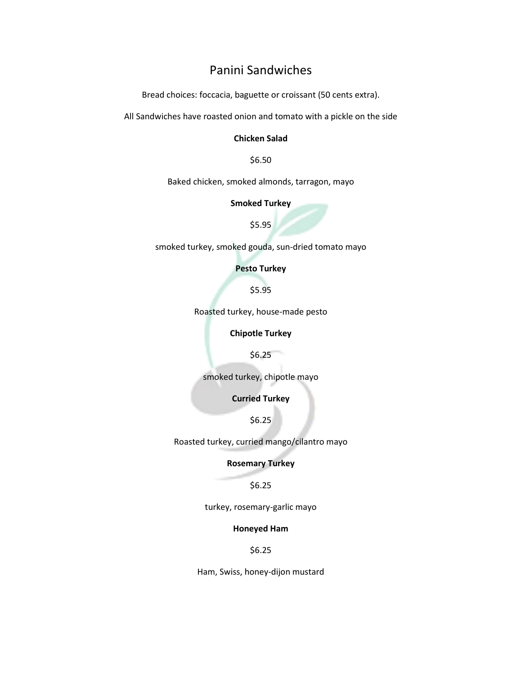# Panini Sandwiches

Bread choices: foccacia, baguette or croissant (50 cents extra).

All Sandwiches have roasted onion and tomato with a pickle on the side

#### Chicken Salad

\$6.50

Baked chicken, smoked almonds, tarragon, mayo

#### Smoked Turkey

\$5.95

smoked turkey, smoked gouda, sun-dried tomato mayo

## Pesto Turkey

\$5.95

Roasted turkey, house-made pesto

## Chipotle Turkey

\$6.25

smoked turkey, chipotle mayo

Curried Turkey

\$6.25

Roasted turkey, curried mango/cilantro mayo

# Rosemary Turkey

### \$6.25

turkey, rosemary-garlic mayo

#### Honeyed Ham

\$6.25

Ham, Swiss, honey-dijon mustard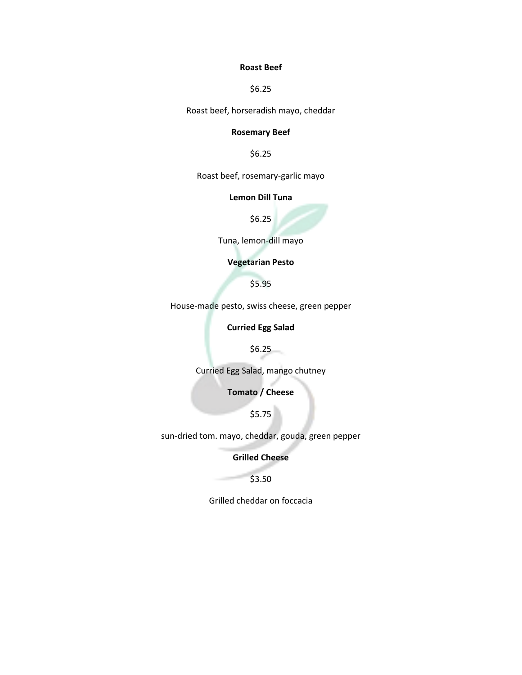## Roast Beef

\$6.25

Roast beef, horseradish mayo, cheddar

## Rosemary Beef

\$6.25

Roast beef, rosemary-garlic mayo

## Lemon Dill Tuna

\$6.25

Tuna, lemon-dill mayo

# Vegetarian Pesto

\$5.95

House-made pesto, swiss cheese, green pepper

Curried Egg Salad

\$6.25

Curried Egg Salad, mango chutney

Tomato / Cheese

\$5.75

sun-dried tom. mayo, cheddar, gouda, green pepper

Grilled Cheese

\$3.50

Grilled cheddar on foccacia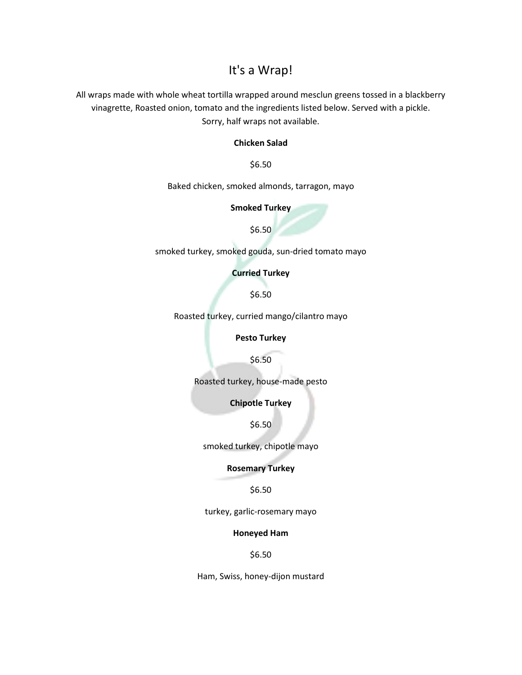# It's a Wrap!

All wraps made with whole wheat tortilla wrapped around mesclun greens tossed in a blackberry vinagrette, Roasted onion, tomato and the ingredients listed below. Served with a pickle. Sorry, half wraps not available.

## Chicken Salad

\$6.50

Baked chicken, smoked almonds, tarragon, mayo

## Smoked Turkey

\$6.50

smoked turkey, smoked gouda, sun-dried tomato mayo

Curried Turkey

\$6.50

Roasted turkey, curried mango/cilantro mayo

Pesto Turkey

\$6.50

Roasted turkey, house-made pesto

Chipotle Turkey

\$6.50

smoked turkey, chipotle mayo

Rosemary Turkey

## \$6.50

turkey, garlic-rosemary mayo

#### Honeyed Ham

\$6.50

Ham, Swiss, honey-dijon mustard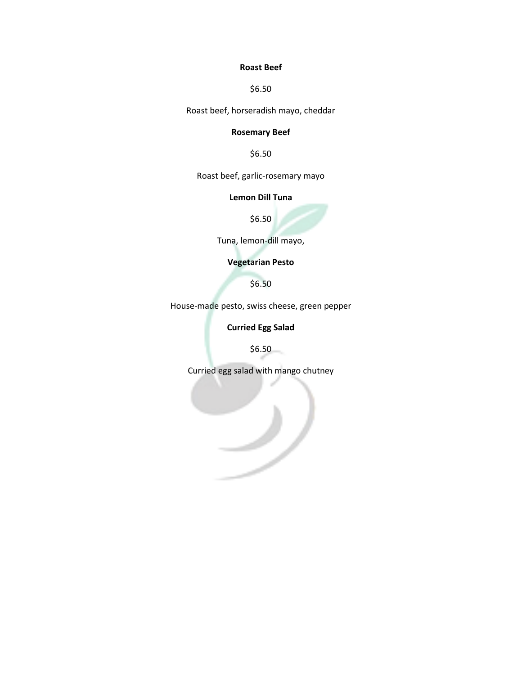## Roast Beef

\$6.50

Roast beef, horseradish mayo, cheddar

# Rosemary Beef

\$6.50

Roast beef, garlic-rosemary mayo

## Lemon Dill Tuna

\$6.50

Tuna, lemon-dill mayo,

# Vegetarian Pesto

\$6.50

House-made pesto, swiss cheese, green pepper

Curried Egg Salad

\$6.50

Curried egg salad with mango chutney

مر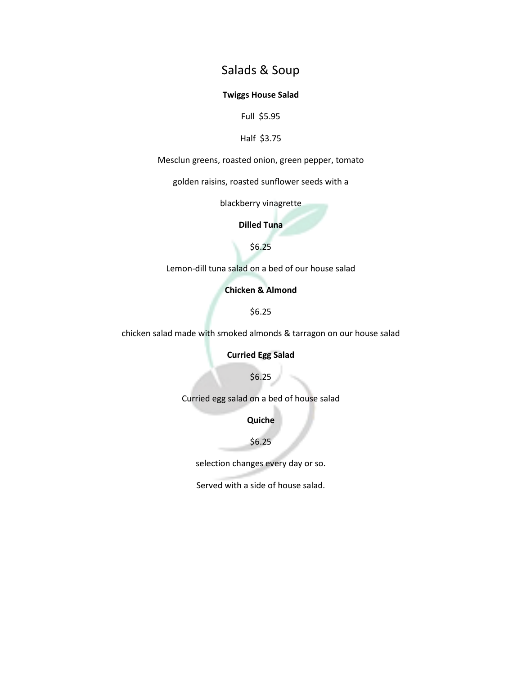# Salads & Soup

## Twiggs House Salad

Full \$5.95

## Half \$3.75

Mesclun greens, roasted onion, green pepper, tomato

golden raisins, roasted sunflower seeds with a

blackberry vinagrette

Dilled Tuna

\$6.25

Lemon-dill tuna salad on a bed of our house salad

Chicken & Almond

\$6.25

chicken salad made with smoked almonds & tarragon on our house salad

Curried Egg Salad

\$6.25

Curried egg salad on a bed of house salad

Quiche

\$6.25

selection changes every day or so.

Served with a side of house salad.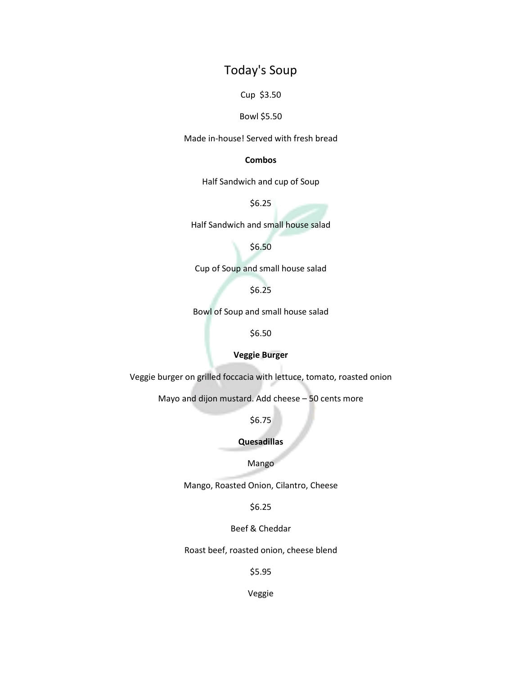# Today's Soup

Cup \$3.50

### Bowl \$5.50

Made in-house! Served with fresh bread

# Combos

Half Sandwich and cup of Soup

\$6.25

Half Sandwich and small house salad

\$6.50

Cup of Soup and small house salad

\$6.25

Bowl of Soup and small house salad

\$6.50

## Veggie Burger

Veggie burger on grilled foccacia with lettuce, tomato, roasted onion

Mayo and dijon mustard. Add cheese – 50 cents more

\$6.75

## Quesadillas

## Mango

Mango, Roasted Onion, Cilantro, Cheese

\$6.25

Beef & Cheddar

Roast beef, roasted onion, cheese blend

\$5.95

Veggie